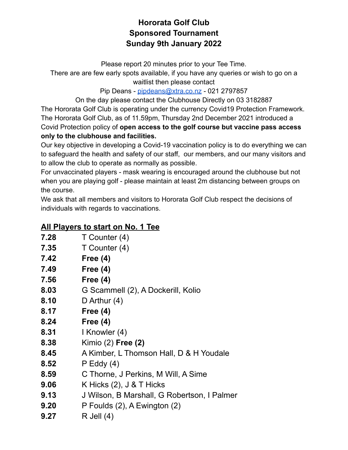## **Hororata Golf Club Sponsored Tournament Sunday 9th January 2022**

Please report 20 minutes prior to your Tee Time.

There are are few early spots available, if you have any queries or wish to go on a waitlist then please contact

Pip Deans - [pipdeans@xtra.co.nz](mailto:pipdeans@xtra.co.nz) - 021 2797857

On the day please contact the Clubhouse Directly on 03 3182887 The Hororata Golf Club is operating under the currency Covid19 Protection Framework. The Hororata Golf Club, as of 11.59pm, Thursday 2nd December 2021 introduced a Covid Protection policy of **open access to the golf course but vaccine pass access**

**only to the clubhouse and facilities.**

Our key objective in developing a Covid-19 vaccination policy is to do everything we can to safeguard the health and safety of our staff, our members, and our many visitors and to allow the club to operate as normally as possible.

For unvaccinated players - mask wearing is encouraged around the clubhouse but not when you are playing golf - please maintain at least 2m distancing between groups on the course.

We ask that all members and visitors to Hororata Golf Club respect the decisions of individuals with regards to vaccinations.

## **All Players to start on No. 1 Tee**

- **7.28** T Counter (4)
- **7.35** T Counter (4)
- **7.42 Free (4)**
- **7.49 Free (4)**
- **7.56 Free (4)**
- **8.03** G Scammell (2), A Dockerill, Kolio
- **8.10** D Arthur (4)
- **8.17 Free (4)**
- **8.24 Free (4)**
- **8.31** I Knowler (4)
- **8.38** Kimio (2) **Free (2)**
- **8.45** A Kimber, L Thomson Hall, D & H Youdale
- **8.52** P Eddy (4)
- **8.59** C Thorne, J Perkins, M Will, A Sime
- **9.06** K Hicks (2), J & T Hicks
- **9.13** J Wilson, B Marshall, G Robertson, I Palmer
- **9.20** P Foulds (2), A Ewington (2)
- **9.27** R Jell (4)